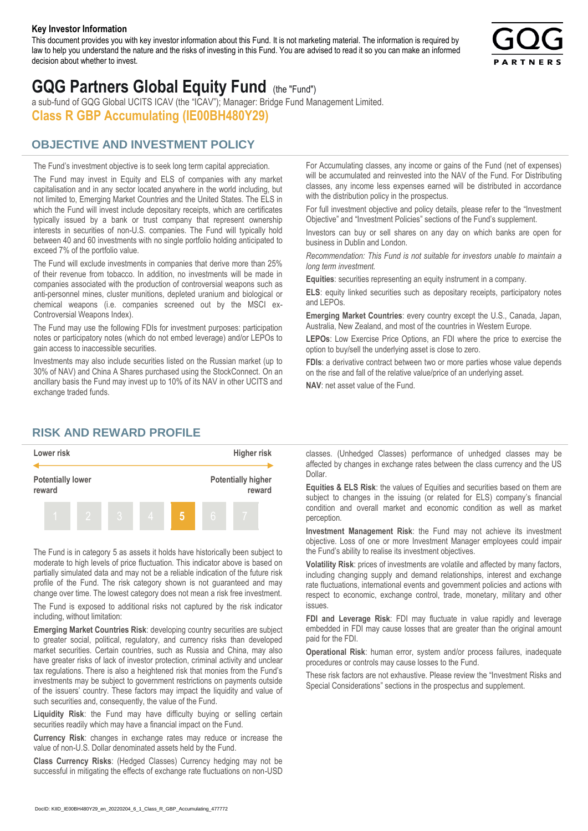#### **Key Investor Information**

This document provides you with key investor information about this Fund. It is not marketing material. The information is required by law to help you understand the nature and the risks of investing in this Fund. You are advised to read it so you can make an informed decision about whether to invest.



# **GQG Partners Global Equity Fund** (the "Fund")

a sub-fund of GQG Global UCITS ICAV (the "ICAV"); Manager: Bridge Fund Management Limited. **Class R GBP Accumulating (IE00BH480Y29)**

## **OBJECTIVE AND INVESTMENT POLICY**

The Fund's investment objective is to seek long term capital appreciation. The Fund may invest in Equity and ELS of companies with any market capitalisation and in any sector located anywhere in the world including, but not limited to, Emerging Market Countries and the United States. The ELS in which the Fund will invest include depositary receipts, which are certificates typically issued by a bank or trust company that represent ownership interests in securities of non-U.S. companies. The Fund will typically hold between 40 and 60 investments with no single portfolio holding anticipated to exceed 7% of the portfolio value.

The Fund will exclude investments in companies that derive more than 25% of their revenue from tobacco. In addition, no investments will be made in companies associated with the production of controversial weapons such as anti-personnel mines, cluster munitions, depleted uranium and biological or chemical weapons (i.e. companies screened out by the MSCI ex-Controversial Weapons Index).

The Fund may use the following FDIs for investment purposes: participation notes or participatory notes (which do not embed leverage) and/or LEPOs to gain access to inaccessible securities.

Investments may also include securities listed on the Russian market (up to 30% of NAV) and China A Shares purchased using the StockConnect. On an ancillary basis the Fund may invest up to 10% of its NAV in other UCITS and exchange traded funds.

For Accumulating classes, any income or gains of the Fund (net of expenses) will be accumulated and reinvested into the NAV of the Fund. For Distributing classes, any income less expenses earned will be distributed in accordance with the distribution policy in the prospectus.

For full investment objective and policy details, please refer to the "Investment Objective" and "Investment Policies" sections of the Fund's supplement.

Investors can buy or sell shares on any day on which banks are open for business in Dublin and London.

*Recommendation: This Fund is not suitable for investors unable to maintain a long term investment.*

**Equities**: securities representing an equity instrument in a company.

**ELS**: equity linked securities such as depositary receipts, participatory notes and LEPOs.

**Emerging Market Countries**: every country except the U.S., Canada, Japan, Australia, New Zealand, and most of the countries in Western Europe.

**LEPOs**: Low Exercise Price Options, an FDI where the price to exercise the option to buy/sell the underlying asset is close to zero.

**FDIs**: a derivative contract between two or more parties whose value depends on the rise and fall of the relative value/price of an underlying asset.

**NAV**: net asset value of the Fund.

### **RISK AND REWARD PROFILE**



The Fund is in category 5 as assets it holds have historically been subject to moderate to high levels of price fluctuation. This indicator above is based on partially simulated data and may not be a reliable indication of the future risk profile of the Fund. The risk category shown is not guaranteed and may change over time. The lowest category does not mean a risk free investment.

The Fund is exposed to additional risks not captured by the risk indicator including, without limitation:

**Emerging Market Countries Risk**: developing country securities are subject to greater social, political, regulatory, and currency risks than developed market securities. Certain countries, such as Russia and China, may also have greater risks of lack of investor protection, criminal activity and unclear tax regulations. There is also a heightened risk that monies from the Fund's investments may be subject to government restrictions on payments outside of the issuers' country. These factors may impact the liquidity and value of such securities and, consequently, the value of the Fund.

**Liquidity Risk**: the Fund may have difficulty buying or selling certain securities readily which may have a financial impact on the Fund.

**Currency Risk**: changes in exchange rates may reduce or increase the value of non-U.S. Dollar denominated assets held by the Fund.

**Class Currency Risks**: (Hedged Classes) Currency hedging may not be successful in mitigating the effects of exchange rate fluctuations on non-USD classes. (Unhedged Classes) performance of unhedged classes may be affected by changes in exchange rates between the class currency and the US Dollar.

**Equities & ELS Risk**: the values of Equities and securities based on them are subject to changes in the issuing (or related for ELS) company's financial condition and overall market and economic condition as well as market perception.

**Investment Management Risk**: the Fund may not achieve its investment objective. Loss of one or more Investment Manager employees could impair the Fund's ability to realise its investment objectives.

**Volatility Risk**: prices of investments are volatile and affected by many factors, including changing supply and demand relationships, interest and exchange rate fluctuations, international events and government policies and actions with respect to economic, exchange control, trade, monetary, military and other issues.

**FDI and Leverage Risk**: FDI may fluctuate in value rapidly and leverage embedded in FDI may cause losses that are greater than the original amount paid for the FDI.

**Operational Risk**: human error, system and/or process failures, inadequate procedures or controls may cause losses to the Fund.

These risk factors are not exhaustive. Please review the "Investment Risks and Special Considerations" sections in the prospectus and supplement.